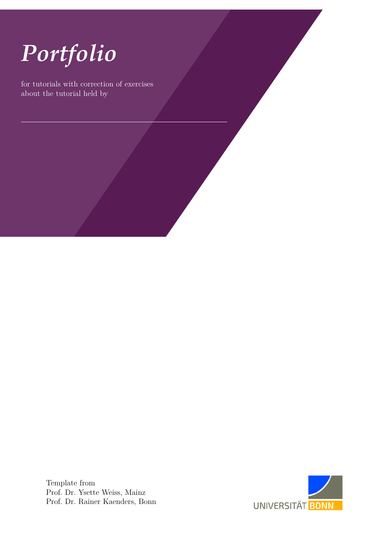

for tutorials with correction of exercises about the tutorial held by

> Template from Prof. Dr. Ysette Weiss, Mainz Prof. Dr. Rainer Kaenders, Bonn

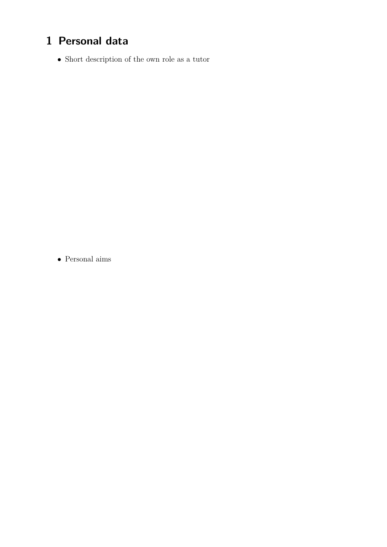## **1 Personal data**

 $\bullet\,$  Short description of the own role as a tutor

• Personal aims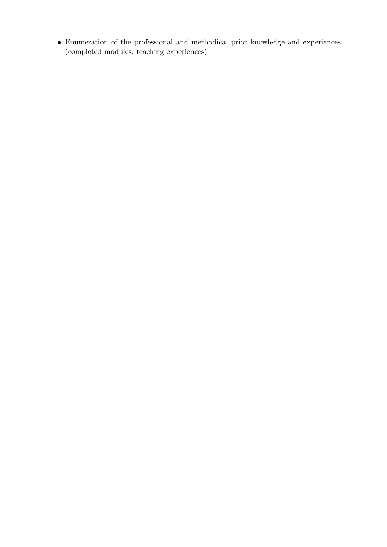$\bullet\,$  Enumeration of the professional and methodical prior knowledge and experiences (completed modules, teaching experiences)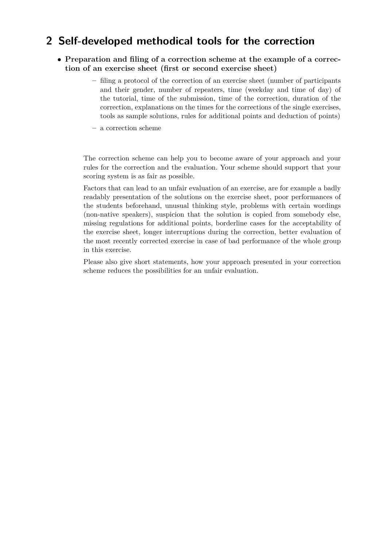#### **2 Self-developed methodical tools for the correction**

- **Preparation and filing of a correction scheme at the example of a correction of an exercise sheet (first or second exercise sheet)**
	- **–** filing a protocol of the correction of an exercise sheet (number of participants and their gender, number of repeaters, time (weekday and time of day) of the tutorial, time of the submission, time of the correction, duration of the correction, explanations on the times for the corrections of the single exercises, tools as sample solutions, rules for additional points and deduction of points)
	- **–** a correction scheme

The correction scheme can help you to become aware of your approach and your rules for the correction and the evaluation. Your scheme should support that your scoring system is as fair as possible.

Factors that can lead to an unfair evaluation of an exercise, are for example a badly readably presentation of the solutions on the exercise sheet, poor performances of the students beforehand, unusual thinking style, problems with certain wordings (non-native speakers), suspicion that the solution is copied from somebody else, missing regulations for additional points, borderline cases for the acceptability of the exercise sheet, longer interruptions during the correction, better evaluation of the most recently corrected exercise in case of bad performance of the whole group in this exercise.

Please also give short statements, how your approach presented in your correction scheme reduces the possibilities for an unfair evaluation.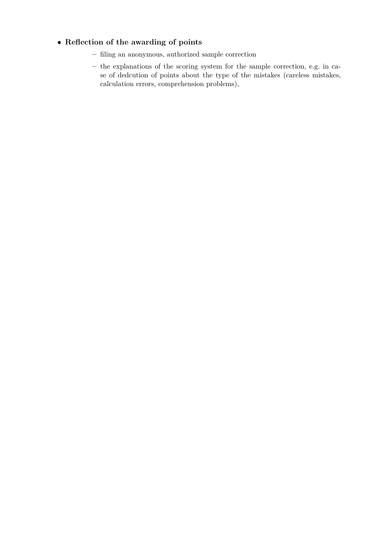#### • **Reflection of the awarding of points**

- **–** filing an anonymous, authorized sample correction
- **–** the explanations of the scoring system for the sample correction, e.g. in case of dedcution of points about the type of the mistakes (careless mistakes, calculation errors, comprehension problems),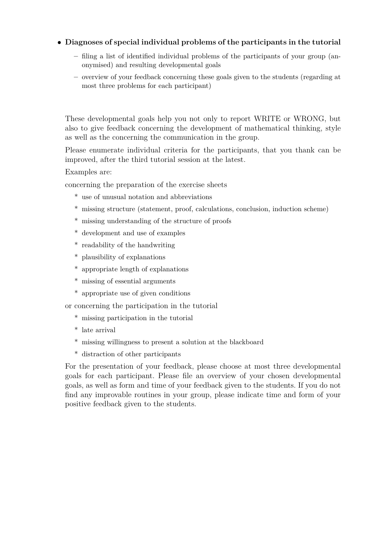#### • **Diagnoses of special individual problems of the participants in the tutorial**

- **–** filing a list of identified individual problems of the participants of your group (anonymised) and resulting developmental goals
- **–** overview of your feedback concerning these goals given to the students (regarding at most three problems for each participant)

These developmental goals help you not only to report WRITE or WRONG, but also to give feedback concerning the development of mathematical thinking, style as well as the concerning the communication in the group.

Please enumerate individual criteria for the participants, that you thank can be improved, after the third tutorial session at the latest.

Examples are:

concerning the preparation of the exercise sheets

- \* use of unusual notation and abbreviations
- \* missing structure (statement, proof, calculations, conclusion, induction scheme)
- \* missing understanding of the structure of proofs
- \* development and use of examples
- \* readability of the handwriting
- \* plausibility of explanations
- \* appropriate length of explanations
- \* missing of essential arguments
- \* appropriate use of given conditions

or concerning the participation in the tutorial

- \* missing participation in the tutorial
- \* late arrival
- \* missing willingness to present a solution at the blackboard
- \* distraction of other participants

For the presentation of your feedback, please choose at most three developmental goals for each participant. Please file an overview of your chosen developmental goals, as well as form and time of your feedback given to the students. If you do not find any improvable routines in your group, please indicate time and form of your positive feedback given to the students.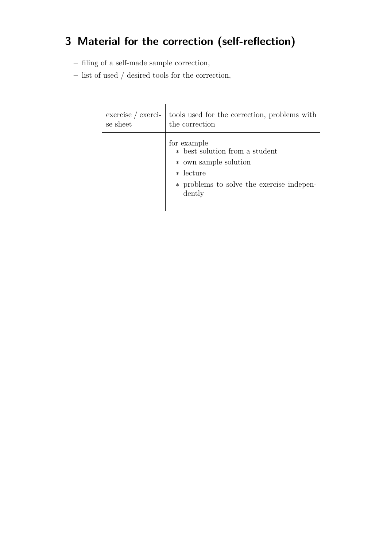# **3 Material for the correction (self-reflection)**

- **–** filing of a self-made sample correction,
- **–** list of used / desired tools for the correction,

| $exercise / exerci-$ | tools used for the correction, problems with                                                                                                    |
|----------------------|-------------------------------------------------------------------------------------------------------------------------------------------------|
| se sheet             | the correction                                                                                                                                  |
|                      | for example<br>* best solution from a student<br>* own sample solution<br>$\ast$ lecture<br>* problems to solve the exercise indepen-<br>dently |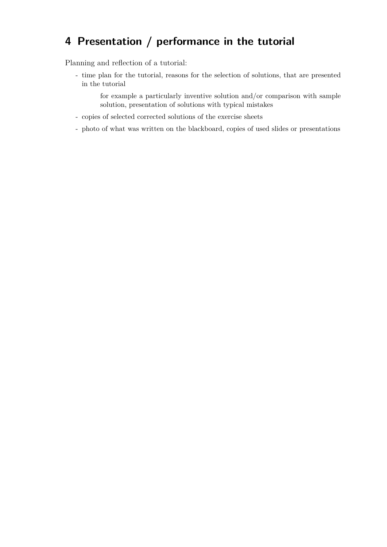### **4 Presentation / performance in the tutorial**

Planning and reflection of a tutorial:

- time plan for the tutorial, reasons for the selection of solutions, that are presented in the tutorial

for example a particularly inventive solution and/or comparison with sample solution, presentation of solutions with typical mistakes

- copies of selected corrected solutions of the exercise sheets
- photo of what was written on the blackboard, copies of used slides or presentations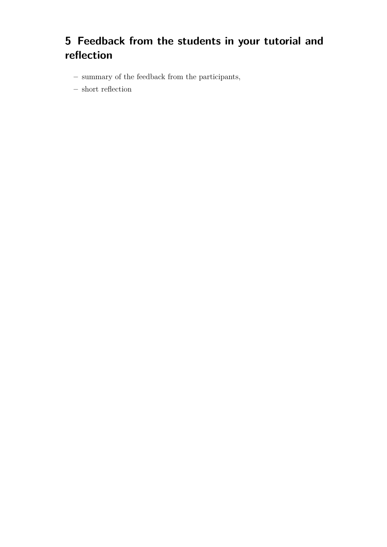## **5 Feedback from the students in your tutorial and reflection**

- **–** summary of the feedback from the participants,
- **–** short reflection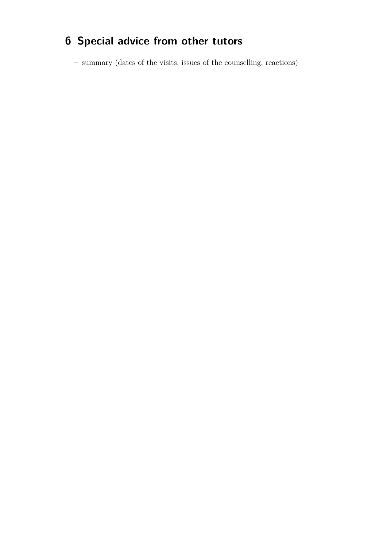# **6 Special advice from other tutors**

**–** summary (dates of the visits, issues of the counselling, reactions)